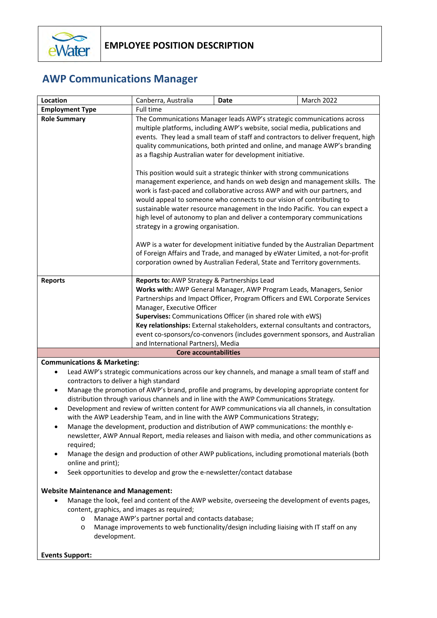

## **AWP Communications Manager**

| The Communications Manager leads AWP's strategic communications across<br>multiple platforms, including AWP's website, social media, publications and<br>events. They lead a small team of staff and contractors to deliver frequent, high<br>quality communications, both printed and online, and manage AWP's branding<br>as a flagship Australian water for development initiative.                                                                                                                                                                            |  |  |
|-------------------------------------------------------------------------------------------------------------------------------------------------------------------------------------------------------------------------------------------------------------------------------------------------------------------------------------------------------------------------------------------------------------------------------------------------------------------------------------------------------------------------------------------------------------------|--|--|
| management experience, and hands on web design and management skills. The<br>work is fast-paced and collaborative across AWP and with our partners, and<br>sustainable water resource management in the Indo Pacific. You can expect a<br>high level of autonomy to plan and deliver a contemporary communications<br>AWP is a water for development initiative funded by the Australian Department<br>of Foreign Affairs and Trade, and managed by eWater Limited, a not-for-profit<br>corporation owned by Australian Federal, State and Territory governments. |  |  |
| Works with: AWP General Manager, AWP Program Leads, Managers, Senior<br>Partnerships and Impact Officer, Program Officers and EWL Corporate Services<br>Key relationships: External stakeholders, external consultants and contractors,<br>event co-sponsors/co-convenors (includes government sponsors, and Australian                                                                                                                                                                                                                                           |  |  |
|                                                                                                                                                                                                                                                                                                                                                                                                                                                                                                                                                                   |  |  |

## **Communications & Marketing:**

- Lead AWP's strategic communications across our key channels, and manage a small team of staff and contractors to deliver a high standard
- Manage the promotion of AWP's brand, profile and programs, by developing appropriate content for distribution through various channels and in line with the AWP Communications Strategy.
- Development and review of written content for AWP communications via all channels, in consultation with the AWP Leadership Team, and in line with the AWP Communications Strategy;
- Manage the development, production and distribution of AWP communications: the monthly enewsletter, AWP Annual Report, media releases and liaison with media, and other communications as required;
- Manage the design and production of other AWP publications, including promotional materials (both online and print);
- Seek opportunities to develop and grow the e-newsletter/contact database

## **Website Maintenance and Management:**

- Manage the look, feel and content of the AWP website, overseeing the development of events pages, content, graphics, and images as required;
	- o Manage AWP's partner portal and contacts database;
	- o Manage improvements to web functionality/design including liaising with IT staff on any development.

## **Events Support:**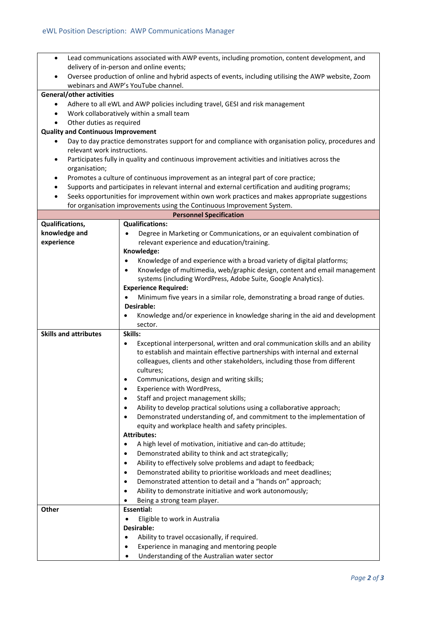| $\bullet$                                                                                                                      | Lead communications associated with AWP events, including promotion, content development, and                                                              |  |  |  |  |
|--------------------------------------------------------------------------------------------------------------------------------|------------------------------------------------------------------------------------------------------------------------------------------------------------|--|--|--|--|
|                                                                                                                                | delivery of in-person and online events;                                                                                                                   |  |  |  |  |
|                                                                                                                                | Oversee production of online and hybrid aspects of events, including utilising the AWP website, Zoom<br>webinars and AWP's YouTube channel.                |  |  |  |  |
| <b>General/other activities</b>                                                                                                |                                                                                                                                                            |  |  |  |  |
|                                                                                                                                |                                                                                                                                                            |  |  |  |  |
| Adhere to all eWL and AWP policies including travel, GESI and risk management<br>٠<br>Work collaboratively within a small team |                                                                                                                                                            |  |  |  |  |
| ٠<br>Other duties as required<br>٠                                                                                             |                                                                                                                                                            |  |  |  |  |
| <b>Quality and Continuous Improvement</b>                                                                                      |                                                                                                                                                            |  |  |  |  |
| Day to day practice demonstrates support for and compliance with organisation policy, procedures and<br>٠                      |                                                                                                                                                            |  |  |  |  |
| relevant work instructions.                                                                                                    |                                                                                                                                                            |  |  |  |  |
| Participates fully in quality and continuous improvement activities and initiatives across the<br>$\bullet$                    |                                                                                                                                                            |  |  |  |  |
| organisation;                                                                                                                  |                                                                                                                                                            |  |  |  |  |
| Promotes a culture of continuous improvement as an integral part of core practice;<br>٠                                        |                                                                                                                                                            |  |  |  |  |
| Supports and participates in relevant internal and external certification and auditing programs;<br>٠                          |                                                                                                                                                            |  |  |  |  |
| Seeks opportunities for improvement within own work practices and makes appropriate suggestions                                |                                                                                                                                                            |  |  |  |  |
| for organisation improvements using the Continuous Improvement System.                                                         |                                                                                                                                                            |  |  |  |  |
| <b>Personnel Specification</b>                                                                                                 |                                                                                                                                                            |  |  |  |  |
| Qualifications,                                                                                                                | <b>Qualifications:</b>                                                                                                                                     |  |  |  |  |
| knowledge and                                                                                                                  | Degree in Marketing or Communications, or an equivalent combination of<br>$\bullet$                                                                        |  |  |  |  |
| experience                                                                                                                     | relevant experience and education/training.                                                                                                                |  |  |  |  |
|                                                                                                                                | Knowledge:                                                                                                                                                 |  |  |  |  |
|                                                                                                                                | Knowledge of and experience with a broad variety of digital platforms;<br>$\bullet$                                                                        |  |  |  |  |
|                                                                                                                                | Knowledge of multimedia, web/graphic design, content and email management<br>$\bullet$                                                                     |  |  |  |  |
|                                                                                                                                | systems (including WordPress, Adobe Suite, Google Analytics).                                                                                              |  |  |  |  |
|                                                                                                                                | <b>Experience Required:</b>                                                                                                                                |  |  |  |  |
|                                                                                                                                | Minimum five years in a similar role, demonstrating a broad range of duties.<br>Desirable:                                                                 |  |  |  |  |
|                                                                                                                                | Knowledge and/or experience in knowledge sharing in the aid and development                                                                                |  |  |  |  |
|                                                                                                                                | sector.                                                                                                                                                    |  |  |  |  |
| <b>Skills and attributes</b>                                                                                                   | Skills:                                                                                                                                                    |  |  |  |  |
|                                                                                                                                | Exceptional interpersonal, written and oral communication skills and an ability<br>٠                                                                       |  |  |  |  |
|                                                                                                                                | to establish and maintain effective partnerships with internal and external                                                                                |  |  |  |  |
|                                                                                                                                | colleagues, clients and other stakeholders, including those from different                                                                                 |  |  |  |  |
|                                                                                                                                | cultures;                                                                                                                                                  |  |  |  |  |
|                                                                                                                                | Communications, design and writing skills;                                                                                                                 |  |  |  |  |
|                                                                                                                                | Experience with WordPress,<br>٠                                                                                                                            |  |  |  |  |
|                                                                                                                                | Staff and project management skills;<br>$\bullet$                                                                                                          |  |  |  |  |
|                                                                                                                                | Ability to develop practical solutions using a collaborative approach;<br>٠                                                                                |  |  |  |  |
|                                                                                                                                | Demonstrated understanding of, and commitment to the implementation of                                                                                     |  |  |  |  |
|                                                                                                                                | equity and workplace health and safety principles.                                                                                                         |  |  |  |  |
| <b>Attributes:</b>                                                                                                             |                                                                                                                                                            |  |  |  |  |
|                                                                                                                                | A high level of motivation, initiative and can-do attitude;<br>٠                                                                                           |  |  |  |  |
|                                                                                                                                | Demonstrated ability to think and act strategically;<br>$\bullet$                                                                                          |  |  |  |  |
|                                                                                                                                | Ability to effectively solve problems and adapt to feedback;<br>$\bullet$<br>Demonstrated ability to prioritise workloads and meet deadlines;<br>$\bullet$ |  |  |  |  |
|                                                                                                                                | Demonstrated attention to detail and a "hands on" approach;                                                                                                |  |  |  |  |
|                                                                                                                                | ٠<br>Ability to demonstrate initiative and work autonomously;<br>$\bullet$                                                                                 |  |  |  |  |
|                                                                                                                                | Being a strong team player.                                                                                                                                |  |  |  |  |
| Other                                                                                                                          | <b>Essential:</b>                                                                                                                                          |  |  |  |  |
|                                                                                                                                | Eligible to work in Australia<br>$\bullet$                                                                                                                 |  |  |  |  |
|                                                                                                                                | Desirable:                                                                                                                                                 |  |  |  |  |
|                                                                                                                                | Ability to travel occasionally, if required.<br>$\bullet$                                                                                                  |  |  |  |  |
|                                                                                                                                | Experience in managing and mentoring people                                                                                                                |  |  |  |  |
|                                                                                                                                | Understanding of the Australian water sector                                                                                                               |  |  |  |  |